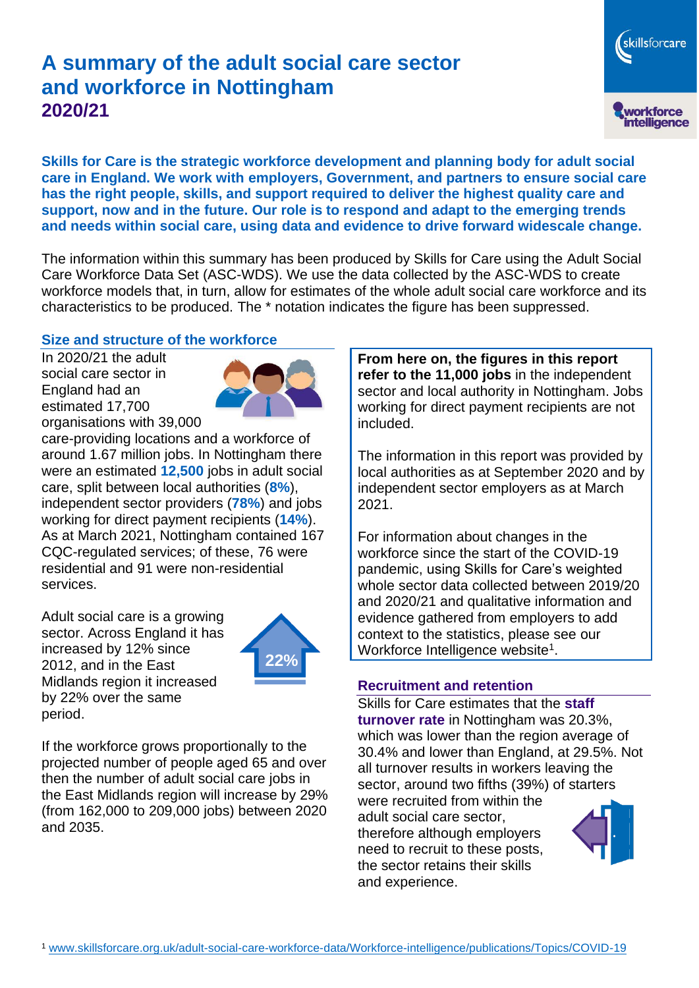# **A summary of the adult social care sector and workforce in Nottingham 2020/21**

skillsforcare workforce<br>intelligence

**Skills for Care is the strategic workforce development and planning body for adult social care in England. We work with employers, Government, and partners to ensure social care has the right people, skills, and support required to deliver the highest quality care and support, now and in the future. Our role is to respond and adapt to the emerging trends and needs within social care, using data and evidence to drive forward widescale change.**

The information within this summary has been produced by Skills for Care using the Adult Social Care Workforce Data Set (ASC-WDS). We use the data collected by the ASC-WDS to create workforce models that, in turn, allow for estimates of the whole adult social care workforce and its characteristics to be produced. The \* notation indicates the figure has been suppressed.

#### **Size and structure of the workforce**

In 2020/21 the adult social care sector in England had an estimated 17,700 organisations with 39,000



care-providing locations and a workforce of around 1.67 million jobs. In Nottingham there were an estimated **12,500** jobs in adult social care, split between local authorities (**8%**), independent sector providers (**78%**) and jobs working for direct payment recipients (**14%**). As at March 2021, Nottingham contained 167 CQC-regulated services; of these, 76 were residential and 91 were non-residential services.

Adult social care is a growing sector. Across England it has increased by 12% since 2012, and in the East Midlands region it increased by 22% over the same period.



If the workforce grows proportionally to the projected number of people aged 65 and over then the number of adult social care jobs in the East Midlands region will increase by 29% (from 162,000 to 209,000 jobs) between 2020 and 2035.

**From here on, the figures in this report refer to the 11,000 jobs** in the independent sector and local authority in Nottingham. Jobs working for direct payment recipients are not included.

The information in this report was provided by local authorities as at September 2020 and by independent sector employers as at March 2021.

For information about changes in the workforce since the start of the COVID-19 pandemic, using Skills for Care's weighted whole sector data collected between 2019/20 and 2020/21 and qualitative information and evidence gathered from employers to add context to the statistics, please see our Workforce Intelligence website<sup>1</sup>.

#### **Recruitment and retention**

Skills for Care estimates that the **staff turnover rate** in Nottingham was 20.3%, which was lower than the region average of 30.4% and lower than England, at 29.5%. Not all turnover results in workers leaving the sector, around two fifths (39%) of starters

were recruited from within the adult social care sector, therefore although employers need to recruit to these posts, the sector retains their skills and experience.

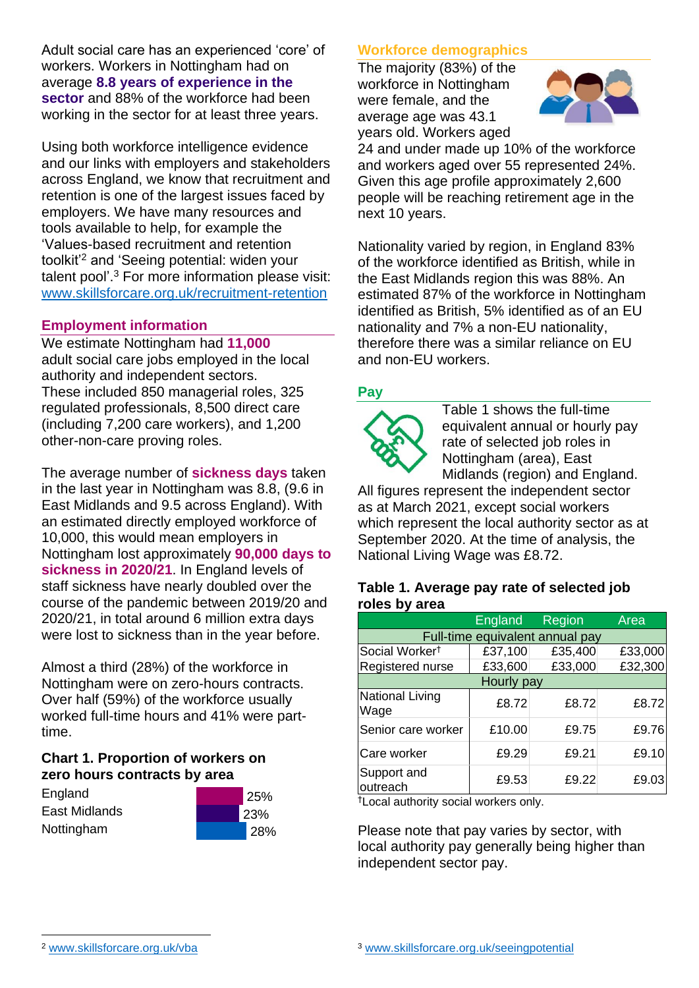Adult social care has an experienced 'core' of workers. Workers in Nottingham had on average **8.8 years of experience in the sector** and 88% of the workforce had been working in the sector for at least three years.

Using both workforce intelligence evidence and our links with employers and stakeholders across England, we know that recruitment and retention is one of the largest issues faced by employers. We have many resources and tools available to help, for example the 'Values-based recruitment and retention toolkit'<sup>2</sup> and 'Seeing potential: widen your talent pool'. <sup>3</sup> For more information please visit: [www.skillsforcare.org.uk/recruitment-retention](http://www.skillsforcare.org.uk/recruitment-retention)

#### **Employment information**

We estimate Nottingham had **11,000** adult social care jobs employed in the local authority and independent sectors. These included 850 managerial roles, 325 regulated professionals, 8,500 direct care (including 7,200 care workers), and 1,200 other-non-care proving roles.

The average number of **sickness days** taken in the last year in Nottingham was 8.8, (9.6 in East Midlands and 9.5 across England). With an estimated directly employed workforce of 10,000, this would mean employers in Nottingham lost approximately **90,000 days to sickness in 2020/21**. In England levels of staff sickness have nearly doubled over the course of the pandemic between 2019/20 and 2020/21, in total around 6 million extra days were lost to sickness than in the year before.

Almost a third (28%) of the workforce in Nottingham were on zero-hours contracts. Over half (59%) of the workforce usually worked full-time hours and 41% were parttime.

### **Chart 1. Proportion of workers on zero hours contracts by area**

| England       |
|---------------|
| East Midlands |
| Nottingham    |



### **Workforce demographics**

The majority (83%) of the workforce in Nottingham were female, and the average age was 43.1 years old. Workers aged



24 and under made up 10% of the workforce and workers aged over 55 represented 24%. Given this age profile approximately 2,600 people will be reaching retirement age in the next 10 years.

Nationality varied by region, in England 83% of the workforce identified as British, while in the East Midlands region this was 88%. An estimated 87% of the workforce in Nottingham identified as British, 5% identified as of an EU nationality and 7% a non-EU nationality, therefore there was a similar reliance on EU and non-EU workers.

### **Pay**



Table 1 shows the full-time equivalent annual or hourly pay rate of selected job roles in Nottingham (area), East Midlands (region) and England.

All figures represent the independent sector as at March 2021, except social workers which represent the local authority sector as at September 2020. At the time of analysis, the National Living Wage was £8.72.

#### **Table 1. Average pay rate of selected job roles by area**

|                                 | England | <b>Region</b> | Area    |  |
|---------------------------------|---------|---------------|---------|--|
| Full-time equivalent annual pay |         |               |         |  |
| Social Worker <sup>†</sup>      | £37,100 | £35,400       | £33,000 |  |
| Registered nurse                | £33,600 | £33,000       | £32,300 |  |
| Hourly pay                      |         |               |         |  |
| National Living<br>Wage         | £8.72   | £8.72         | £8.72   |  |
| Senior care worker              | £10.00  | £9.75         | £9.76   |  |
| Care worker                     | £9.29   | £9.21         | £9.10   |  |
| Support and<br>outreach         | £9.53   | £9.22         | £9.03   |  |

†Local authority social workers only.

Please note that pay varies by sector, with local authority pay generally being higher than independent sector pay.